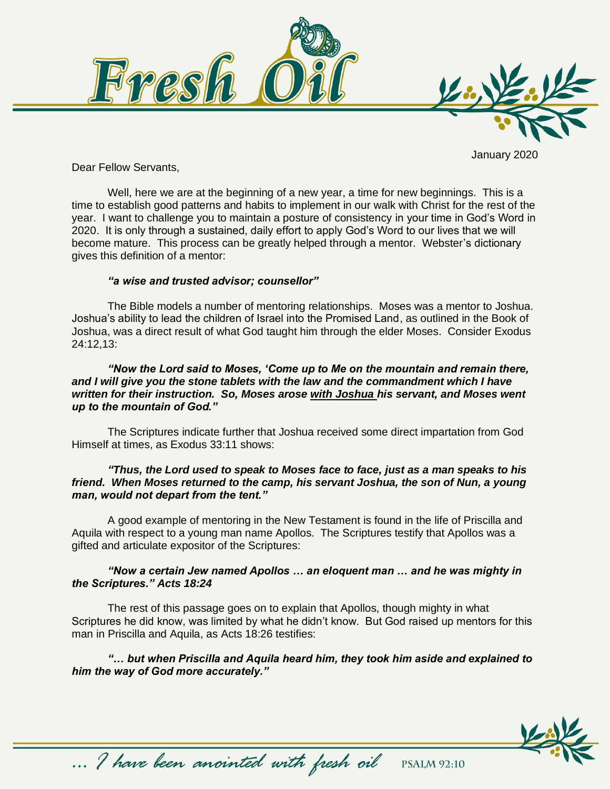

January 2020

Dear Fellow Servants,

Well, here we are at the beginning of a new year, a time for new beginnings. This is a time to establish good patterns and habits to implement in our walk with Christ for the rest of the year. I want to challenge you to maintain a posture of consistency in your time in God's Word in 2020. It is only through a sustained, daily effort to apply God's Word to our lives that we will become mature. This process can be greatly helped through a mentor. Webster's dictionary gives this definition of a mentor:

#### *"a wise and trusted advisor; counsellor"*

The Bible models a number of mentoring relationships. Moses was a mentor to Joshua. Joshua's ability to lead the children of Israel into the Promised Land, as outlined in the Book of Joshua, was a direct result of what God taught him through the elder Moses. Consider Exodus 24:12,13:

*"Now the Lord said to Moses, 'Come up to Me on the mountain and remain there, and I will give you the stone tablets with the law and the commandment which I have written for their instruction. So, Moses arose with Joshua his servant, and Moses went up to the mountain of God."*

The Scriptures indicate further that Joshua received some direct impartation from God Himself at times, as Exodus 33:11 shows:

### *"Thus, the Lord used to speak to Moses face to face, just as a man speaks to his friend. When Moses returned to the camp, his servant Joshua, the son of Nun, a young man, would not depart from the tent."*

A good example of mentoring in the New Testament is found in the life of Priscilla and Aquila with respect to a young man name Apollos. The Scriptures testify that Apollos was a gifted and articulate expositor of the Scriptures:

# *"Now a certain Jew named Apollos … an eloquent man … and he was mighty in the Scriptures." Acts 18:24*

The rest of this passage goes on to explain that Apollos, though mighty in what Scriptures he did know, was limited by what he didn't know. But God raised up mentors for this man in Priscilla and Aquila, as Acts 18:26 testifies:

# *"… but when Priscilla and Aquila heard him, they took him aside and explained to him the way of God more accurately."*

... I have been anointed with fresh oil



**PSALM 92:10**